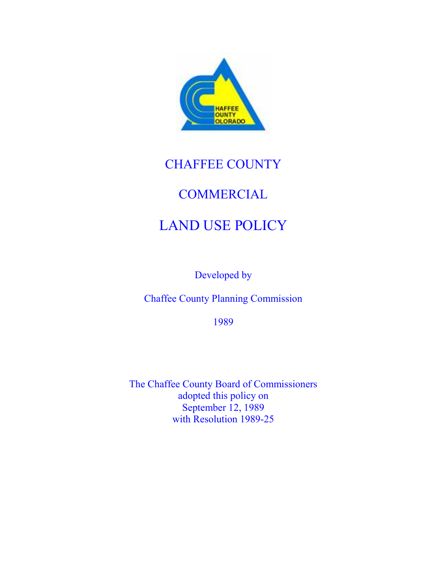

# CHAFFEE COUNTY

# **COMMERCIAL**

# LAND USE POLICY

Developed by

Chaffee County Planning Commission

1989

The Chaffee County Board of Commissioners adopted this policy on September 12, 1989 with Resolution 1989-25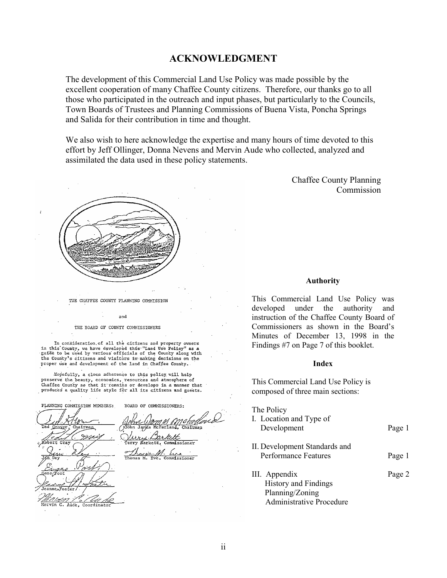# ACKNOWLEDGMENT

The development of this Commercial Land Use Policy was made possible by the excellent cooperation of many Chaffee County citizens. Therefore, our thanks go to all those who participated in the outreach and input phases, but particularly to the Councils, Town Boards of Trustees and Planning Commissions of Buena Vista, Poncha Springs and Salida for their contribution in time and thought.

We also wish to here acknowledge the expertise and many hours of time devoted to this effort by Jeff Ollinger, Donna Nevens and Mervin Aude who collected, analyzed and assimilated the data used in these policy statements.

> Chaffee County Planning Commission

# Authority

This Commercial Land Use Policy was developed under the authority and instruction of the Chaffee County Board of Commissioners as shown in the Board's Minutes of December 13, 1998 in the Findings #7 on Page 7 of this booklet.

#### Index

This Commercial Land Use Policy is composed of three main sections:

The Policy

I. Location and Type of

| Development                                                                                        | Page 1 |
|----------------------------------------------------------------------------------------------------|--------|
| II. Development Standards and<br><b>Performance Features</b>                                       | Page 1 |
| III. Appendix<br><b>History and Findings</b><br>Planning/Zoning<br><b>Administrative Procedure</b> | Page 2 |

THE CHAFFEE COUNTY PLANNING COMMISSION and

THE BOARD OF COUNTY COMMISSIONERS

In consideration of all the citizens and property owners in this County, we have developed this "Land Use Policy" as a guide to be used by various officials of the County along with the County's citizens and visitors in making decisions on the proper use and development of the land in Chaffee County.

Hopefully, a close adherence to this policy will help preserve the beauty, economics, resources and atmosphere of Chaffee County so that it remains or develops in a manner that produces a quality life style for all its citizens and guests.

PLANNING CONNISSION MEMBERS: BOARD OF COMMISSIONERS:

Mervin Aude. Coordinato

Chairman missioner Commissioner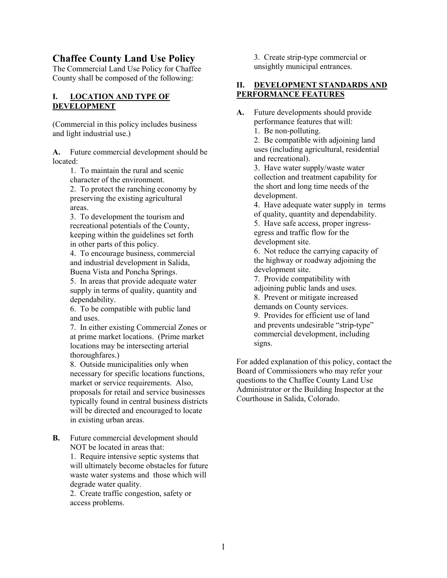# Chaffee County Land Use Policy

The Commercial Land Use Policy for Chaffee County shall be composed of the following:

# I. LOCATION AND TYPE OF DEVELOPMENT

(Commercial in this policy includes business and light industrial use.)

A. Future commercial development should be located:

> 1. To maintain the rural and scenic character of the environment.

 2. To protect the ranching economy by preserving the existing agricultural areas.

 3. To development the tourism and recreational potentials of the County, keeping within the guidelines set forth in other parts of this policy.

 4. To encourage business, commercial and industrial development in Salida, Buena Vista and Poncha Springs.

 5. In areas that provide adequate water supply in terms of quality, quantity and dependability.

 6. To be compatible with public land and uses.

7. In either existing Commercial Zones or at prime market locations. (Prime market locations may be intersecting arterial thoroughfares.)

8. Outside municipalities only when necessary for specific locations functions, market or service requirements. Also, proposals for retail and service businesses typically found in central business districts will be directed and encouraged to locate in existing urban areas.

B. Future commercial development should NOT be located in areas that:

> 1. Require intensive septic systems that will ultimately become obstacles for future waste water systems and those which will degrade water quality.

 2. Create traffic congestion, safety or access problems.

 3. Create strip-type commercial or unsightly municipal entrances.

# II. DEVELOPMENT STANDARDS AND PERFORMANCE FEATURES

A. Future developments should provide performance features that will:

1. Be non-polluting.

 2. Be compatible with adjoining land uses (including agricultural, residential and recreational).

 3. Have water supply/waste water collection and treatment capability for the short and long time needs of the development.

 4. Have adequate water supply in terms of quality, quantity and dependability.

 5. Have safe access, proper ingress egress and traffic flow for the development site.

 6. Not reduce the carrying capacity of the highway or roadway adjoining the development site.

7. Provide compatibility with

 adjoining public lands and uses. 8. Prevent or mitigate increased

demands on County services.

 9. Provides for efficient use of land and prevents undesirable "strip-type" commercial development, including signs.

For added explanation of this policy, contact the Board of Commissioners who may refer your questions to the Chaffee County Land Use Administrator or the Building Inspector at the Courthouse in Salida, Colorado.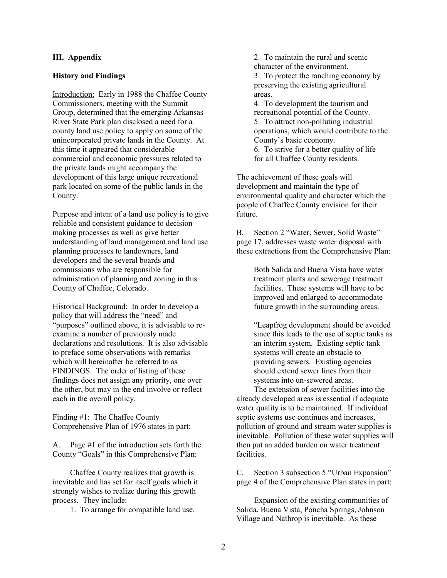## III. Appendix

#### History and Findings

Introduction: Early in 1988 the Chaffee County Commissioners, meeting with the Summit Group, determined that the emerging Arkansas River State Park plan disclosed a need for a county land use policy to apply on some of the unincorporated private lands in the County. At this time it appeared that considerable commercial and economic pressures related to the private lands might accompany the development of this large unique recreational park located on some of the public lands in the County.

Purpose and intent of a land use policy is to give reliable and consistent guidance to decision making processes as well as give better understanding of land management and land use planning processes to landowners, land developers and the several boards and commissions who are responsible for administration of planning and zoning in this County of Chaffee, Colorado.

Historical Background: In order to develop a policy that will address the "need" and "purposes" outlined above, it is advisable to reexamine a number of previously made declarations and resolutions. It is also advisable to preface some observations with remarks which will hereinafter be referred to as FINDINGS. The order of listing of these findings does not assign any priority, one over the other, but may in the end involve or reflect each in the overall policy.

Finding #1: The Chaffee County Comprehensive Plan of 1976 states in part:

A. Page #1 of the introduction sets forth the County "Goals" in this Comprehensive Plan:

 Chaffee County realizes that growth is inevitable and has set for itself goals which it strongly wishes to realize during this growth process. They include:

1. To arrange for compatible land use.

 2. To maintain the rural and scenic character of the environment. 3. To protect the ranching economy by preserving the existing agricultural areas.

 4. To development the tourism and recreational potential of the County. 5. To attract non-polluting industrial operations, which would contribute to the County's basic economy.

 6. To strive for a better quality of life for all Chaffee County residents.

The achievement of these goals will development and maintain the type of environmental quality and character which the people of Chaffee County envision for their future.

B. Section 2 "Water, Sewer, Solid Waste" page 17, addresses waste water disposal with these extractions from the Comprehensive Plan:

> Both Salida and Buena Vista have water treatment plants and sewerage treatment facilities. These systems will have to be improved and enlarged to accommodate future growth in the surrounding areas.

 "Leapfrog development should be avoided since this leads to the use of septic tanks as an interim system. Existing septic tank systems will create an obstacle to providing sewers. Existing agencies should extend sewer lines from their systems into un-sewered areas.

 The extension of sewer facilities into the already developed areas is essential if adequate water quality is to be maintained. If individual septic systems use continues and increases, pollution of ground and stream water supplies is inevitable. Pollution of these water supplies will then put an added burden on water treatment facilities.

C. Section 3 subsection 5 "Urban Expansion" page 4 of the Comprehensive Plan states in part:

 Expansion of the existing communities of Salida, Buena Vista, Poncha Springs, Johnson Village and Nathrop is inevitable. As these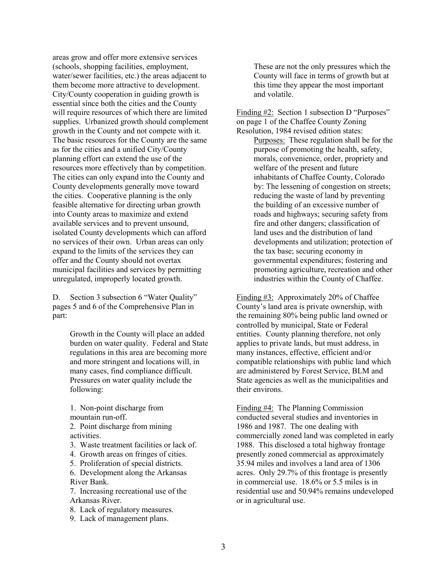areas grow and offer more extensive services (schools, shopping facilities, employment, water/sewer facilities, etc.) the areas adjacent to them become more attractive to development. City/County cooperation in guiding growth is essential since both the cities and the County will require resources of which there are limited supplies. Urbanized growth should complement growth in the County and not compete with it. The basic resources for the County are the same as for the cities and a unified City/County planning effort can extend the use of the resources more effectively than by competition. The cities can only expand into the County and County developments generally move toward the cities. Cooperative planning is the only feasible alternative for directing urban growth into County areas to maximize and extend available services and to prevent unsound, isolated County developments which can afford no services of their own. Urban areas can only expand to the limits of the services they can offer and the County should not overtax municipal facilities and services by permitting unregulated, improperly located growth.

D. Section 3 subsection 6 "Water Quality" pages 5 and 6 of the Comprehensive Plan in part:

> Growth in the County will place an added burden on water quality. Federal and State regulations in this area are becoming more and more stringent and locations will, in many cases, find compliance difficult. Pressures on water quality include the following:

 1. Non-point discharge from mountain run-off.

- 2. Point discharge from mining activities.
- 3. Waste treatment facilities or lack of.
- 4. Growth areas on fringes of cities.
- 5. Proliferation of special districts.

 6. Development along the Arkansas River Bank.

 7. Increasing recreational use of the Arkansas River.

- 8. Lack of regulatory measures.
- 9. Lack of management plans.

 These are not the only pressures which the County will face in terms of growth but at this time they appear the most important and volatile.

Finding #2: Section 1 subsection D "Purposes" on page 1 of the Chaffee County Zoning Resolution, 1984 revised edition states:

 Purposes: These regulation shall be for the purpose of promoting the health, safety, morals, convenience, order, propriety and welfare of the present and future inhabitants of Chaffee County, Colorado by: The lessening of congestion on streets; reducing the waste of land by preventing the building of an excessive number of roads and highways; securing safety from fire and other dangers; classification of land uses and the distribution of land developments and utilization; protection of the tax base; securing economy in governmental expenditures; fostering and promoting agriculture, recreation and other industries within the County of Chaffee.

Finding #3: Approximately 20% of Chaffee County's land area is private ownership, with the remaining 80% being public land owned or controlled by municipal, State or Federal entities. County planning therefore, not only applies to private lands, but must address, in many instances, effective, efficient and/or compatible relationships with public land which are administered by Forest Service, BLM and State agencies as well as the municipalities and their environs.

Finding #4: The Planning Commission conducted several studies and inventories in 1986 and 1987. The one dealing with commercially zoned land was completed in early 1988. This disclosed a total highway frontage presently zoned commercial as approximately 35.94 miles and involves a land area of 1306 acres. Only 29.7% of this frontage is presently in commercial use. 18.6% or 5.5 miles is in residential use and 50.94% remains undeveloped or in agricultural use.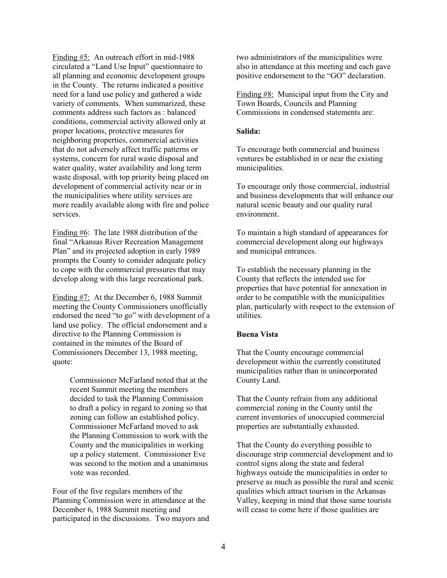Finding #5: An outreach effort in mid-1988 circulated a "Land Use Input" questionnaire to all planning and economic development groups in the County. The returns indicated a positive need for a land use policy and gathered a wide variety of comments. When summarized, these comments address such factors as : balanced conditions, commercial activity allowed only at proper locations, protective measures for neighboring properties, commercial activities that do not adversely affect traffic patterns or systems, concern for rural waste disposal and water quality, water availability and long term waste disposal, with top priority being placed on development of commercial activity near or in the municipalities where utility services are more readily available along with fire and police services.

Finding #6: The late 1988 distribution of the final "Arkansas River Recreation Management Plan" and its projected adoption in early 1989 prompts the County to consider adequate policy to cope with the commercial pressures that may develop along with this large recreational park.

Finding #7: At the December 6, 1988 Summit meeting the County Commissioners unofficially endorsed the need "to go" with development of a land use policy. The official endorsement and a directive to the Planning Commission is contained in the minutes of the Board of Commissioners December 13, 1988 meeting, quote:

> Commissioner McFarland noted that at the recent Summit meeting the members decided to task the Planning Commission to draft a policy in regard to zoning so that zoning can follow an established policy. Commissioner McFarland moved to ask the Planning Commission to work with the County and the municipalities in working up a policy statement. Commissioner Eve was second to the motion and a unanimous vote was recorded.

Four of the five regulars members of the Planning Commission were in attendance at the December 6, 1988 Summit meeting and participated in the discussions. Two mayors and

two administrators of the municipalities were also in attendance at this meeting and each gave positive endorsement to the "GO" declaration.

Finding #8: Municipal input from the City and Town Boards, Councils and Planning Commissions in condensed statements are:

#### Salida:

To encourage both commercial and business ventures be established in or near the existing municipalities.

To encourage only those commercial, industrial and business developments that will enhance our natural scenic beauty and our quality rural environment.

To maintain a high standard of appearances for commercial development along our highways and municipal entrances.

To establish the necessary planning in the County that reflects the intended use for properties that have potential for annexation in order to be compatible with the municipalities plan, particularly with respect to the extension of utilities.

# Buena Vista

That the County encourage commercial development within the currently constituted municipalities rather than in unincorporated County Land.

That the County refrain from any additional commercial zoning in the County until the current inventories of unoccupied commercial properties are substantially exhausted.

That the County do everything possible to discourage strip commercial development and to control signs along the state and federal highways outside the municipalities in order to preserve as much as possible the rural and scenic qualities which attract tourism in the Arkansas Valley, keeping in mind that those same tourists will cease to come here if those qualities are